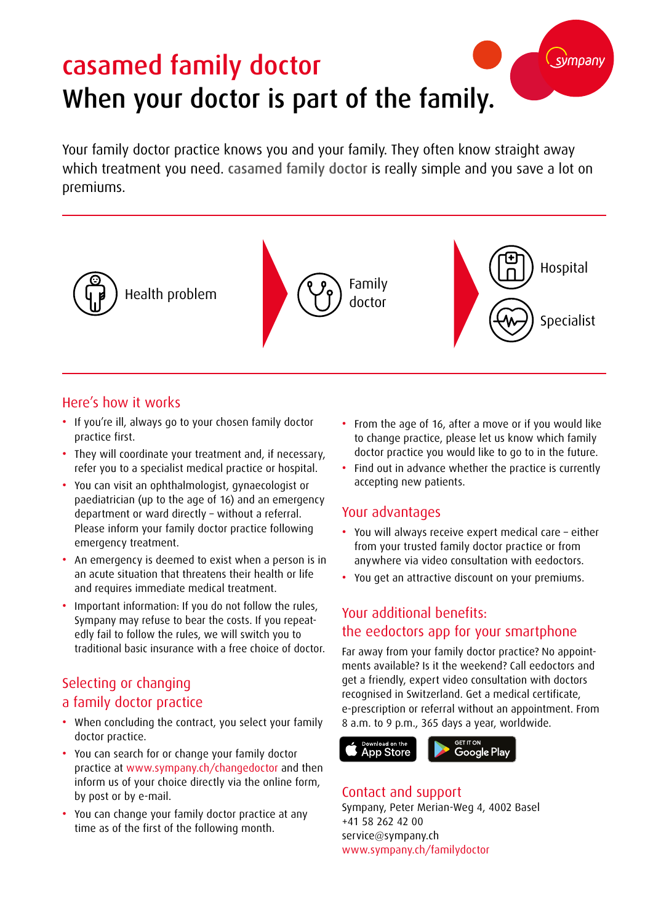# casamed family doctor When your doctor is part of the family.

Your family doctor practice knows you and your family. They often know straight away which treatment you need. casamed family doctor is really simple and you save a lot on premiums.



#### Here's how it works

- If you're ill, always go to your chosen family doctor practice first.
- They will coordinate your treatment and, if necessary, refer you to a specialist medical practice or hospital.
- You can visit an ophthalmologist, gynaecologist or paediatrician (up to the age of 16) and an emergency department or ward directly – without a referral. Please inform your family doctor practice following emergency treatment.
- An emergency is deemed to exist when a person is in an acute situation that threatens their health or life and requires immediate medical treatment.
- Important information: If you do not follow the rules, Sympany may refuse to bear the costs. If you repeatedly fail to follow the rules, we will switch you to traditional basic insurance with a free choice of doctor.

## Selecting or changing a family doctor practice

- When concluding the contract, you select your family doctor practice.
- You can search for or change your family doctor practice at www.sympany.ch/changedoctor and then inform us of your choice directly via the online form, by post or by e-mail.
- You can change your family doctor practice at any time as of the first of the following month.

• From the age of 16, after a move or if you would like to change practice, please let us know which family doctor practice you would like to go to in the future.

svmpany

• Find out in advance whether the practice is currently accepting new patients.

#### Your advantages

- You will always receive expert medical care either from your trusted family doctor practice or from anywhere via video consultation with eedoctors.
- You get an attractive discount on your premiums.

## Your additional benefits: the eedoctors app for your smartphone

Far away from your family doctor practice? No appointments available? Is it the weekend? Call eedoctors and get a friendly, expert video consultation with doctors recognised in Switzerland. Get a medical certificate, e-prescription or referral without an appointment. From 8 a.m. to 9 p.m., 365 days a year, worldwide.



#### Contact and support

Sympany, Peter Merian-Weg 4, 4002 Basel +41 58 262 42 00 service@sympany.ch www.sympany.ch/familydoctor